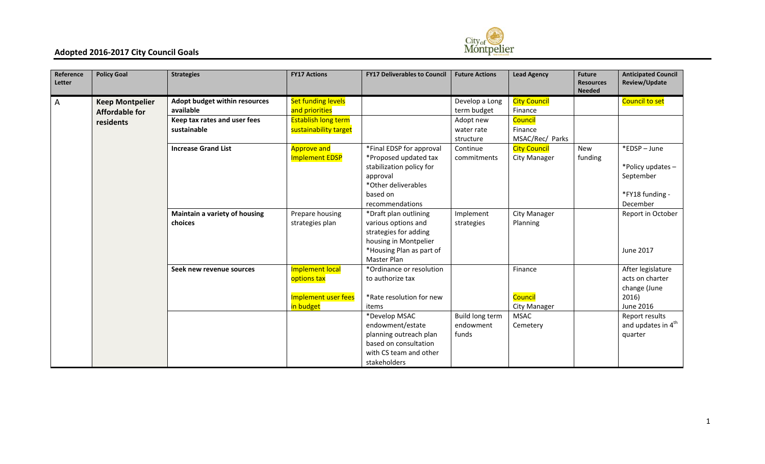

| Reference<br>Letter | <b>Policy Goal</b>     | <b>Strategies</b>             | <b>FY17 Actions</b>        | <b>FY17 Deliverables to Council</b> | <b>Future Actions</b>  | <b>Lead Agency</b>  | <b>Future</b><br><b>Resources</b><br><b>Needed</b> | <b>Anticipated Council</b><br>Review/Update |
|---------------------|------------------------|-------------------------------|----------------------------|-------------------------------------|------------------------|---------------------|----------------------------------------------------|---------------------------------------------|
| A                   | <b>Keep Montpelier</b> | Adopt budget within resources | <b>Set funding levels</b>  |                                     | Develop a Long         | <b>City Council</b> |                                                    | Council to set                              |
|                     | <b>Affordable for</b>  | available                     | and priorities             |                                     | term budget            | Finance             |                                                    |                                             |
|                     | residents              | Keep tax rates and user fees  | <b>Establish long term</b> |                                     | Adopt new              | Council             |                                                    |                                             |
|                     |                        | sustainable                   | sustainability target      |                                     | water rate             | Finance             |                                                    |                                             |
|                     |                        |                               |                            |                                     | structure              | MSAC/Rec/ Parks     |                                                    |                                             |
|                     |                        | <b>Increase Grand List</b>    | <b>Approve and</b>         | *Final EDSP for approval            | Continue               | <b>City Council</b> | <b>New</b>                                         | *EDSP-June                                  |
|                     |                        |                               | <b>Implement EDSP</b>      | *Proposed updated tax               | commitments            | City Manager        | funding                                            |                                             |
|                     |                        |                               |                            | stabilization policy for            |                        |                     |                                                    | *Policy updates-                            |
|                     |                        |                               |                            | approval                            |                        |                     |                                                    | September                                   |
|                     |                        |                               |                            | *Other deliverables                 |                        |                     |                                                    |                                             |
|                     |                        |                               |                            | based on                            |                        |                     |                                                    | *FY18 funding -                             |
|                     |                        |                               |                            | recommendations                     |                        |                     |                                                    | December                                    |
|                     |                        | Maintain a variety of housing | Prepare housing            | *Draft plan outlining               | Implement              | City Manager        |                                                    | Report in October                           |
|                     |                        | choices                       | strategies plan            | various options and                 | strategies             | Planning            |                                                    |                                             |
|                     |                        |                               |                            | strategies for adding               |                        |                     |                                                    |                                             |
|                     |                        |                               |                            | housing in Montpelier               |                        |                     |                                                    |                                             |
|                     |                        |                               |                            | *Housing Plan as part of            |                        |                     |                                                    | <b>June 2017</b>                            |
|                     |                        |                               |                            | Master Plan                         |                        |                     |                                                    |                                             |
|                     |                        | Seek new revenue sources      | <b>Implement local</b>     | *Ordinance or resolution            |                        | Finance             |                                                    | After legislature                           |
|                     |                        |                               | options tax                | to authorize tax                    |                        |                     |                                                    | acts on charter                             |
|                     |                        |                               |                            |                                     |                        |                     |                                                    | change (June                                |
|                     |                        |                               | Implement user fees        | *Rate resolution for new            |                        | Council             |                                                    | 2016)                                       |
|                     |                        |                               | in budget                  | items                               |                        | <b>City Manager</b> |                                                    | <b>June 2016</b>                            |
|                     |                        |                               |                            | *Develop MSAC                       | <b>Build long term</b> | <b>MSAC</b>         |                                                    | Report results                              |
|                     |                        |                               |                            | endowment/estate                    | endowment              | Cemetery            |                                                    | and updates in 4 <sup>th</sup>              |
|                     |                        |                               |                            | planning outreach plan              | funds                  |                     |                                                    | quarter                                     |
|                     |                        |                               |                            | based on consultation               |                        |                     |                                                    |                                             |
|                     |                        |                               |                            | with CS team and other              |                        |                     |                                                    |                                             |
|                     |                        |                               |                            | stakeholders                        |                        |                     |                                                    |                                             |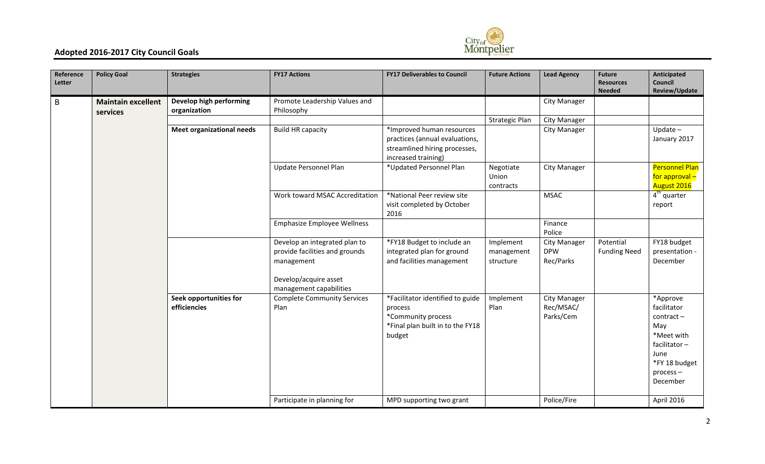

| Reference<br>Letter | <b>Policy Goal</b>                    | <b>Strategies</b>                       | <b>FY17 Actions</b>                                                                                    | <b>FY17 Deliverables to Council</b>                                                                                 | <b>Future Actions</b>                | <b>Lead Agency</b>                             | <b>Future</b><br><b>Resources</b><br><b>Needed</b> | Anticipated<br>Council<br>Review/Update                                                                                       |
|---------------------|---------------------------------------|-----------------------------------------|--------------------------------------------------------------------------------------------------------|---------------------------------------------------------------------------------------------------------------------|--------------------------------------|------------------------------------------------|----------------------------------------------------|-------------------------------------------------------------------------------------------------------------------------------|
| $\mathsf B$         | <b>Maintain excellent</b><br>services | Develop high performing<br>organization | Promote Leadership Values and<br>Philosophy                                                            |                                                                                                                     |                                      | City Manager                                   |                                                    |                                                                                                                               |
|                     |                                       |                                         |                                                                                                        |                                                                                                                     | <b>Strategic Plan</b>                | <b>City Manager</b>                            |                                                    |                                                                                                                               |
|                     |                                       | <b>Meet organizational needs</b>        | <b>Build HR capacity</b>                                                                               | *Improved human resources<br>practices (annual evaluations,<br>streamlined hiring processes,<br>increased training) |                                      | City Manager                                   |                                                    | $Update -$<br>January 2017                                                                                                    |
|                     |                                       |                                         | Update Personnel Plan                                                                                  | *Updated Personnel Plan                                                                                             | Negotiate<br>Union<br>contracts      | <b>City Manager</b>                            |                                                    | <b>Personnel Plan</b><br>for approval -<br>August 2016                                                                        |
|                     |                                       |                                         | Work toward MSAC Accreditation                                                                         | *National Peer review site<br>visit completed by October<br>2016                                                    |                                      | <b>MSAC</b>                                    |                                                    | $4th$ quarter<br>report                                                                                                       |
|                     |                                       |                                         | <b>Emphasize Employee Wellness</b>                                                                     |                                                                                                                     |                                      | Finance<br>Police                              |                                                    |                                                                                                                               |
|                     |                                       |                                         | Develop an integrated plan to<br>provide facilities and grounds<br>management<br>Develop/acquire asset | *FY18 Budget to include an<br>integrated plan for ground<br>and facilities management                               | Implement<br>management<br>structure | <b>City Manager</b><br><b>DPW</b><br>Rec/Parks | Potential<br><b>Funding Need</b>                   | FY18 budget<br>presentation -<br>December                                                                                     |
|                     |                                       |                                         | management capabilities                                                                                |                                                                                                                     |                                      |                                                |                                                    |                                                                                                                               |
|                     |                                       | Seek opportunities for<br>efficiencies  | <b>Complete Community Services</b><br>Plan                                                             | *Facilitator identified to guide<br>process<br>*Community process<br>*Final plan built in to the FY18<br>budget     | Implement<br>Plan                    | City Manager<br>Rec/MSAC/<br>Parks/Cem         |                                                    | *Approve<br>facilitator<br>contract-<br>May<br>*Meet with<br>facilitator-<br>June<br>*FY 18 budget<br>$process -$<br>December |
|                     |                                       |                                         | Participate in planning for                                                                            | MPD supporting two grant                                                                                            |                                      | Police/Fire                                    |                                                    | April 2016                                                                                                                    |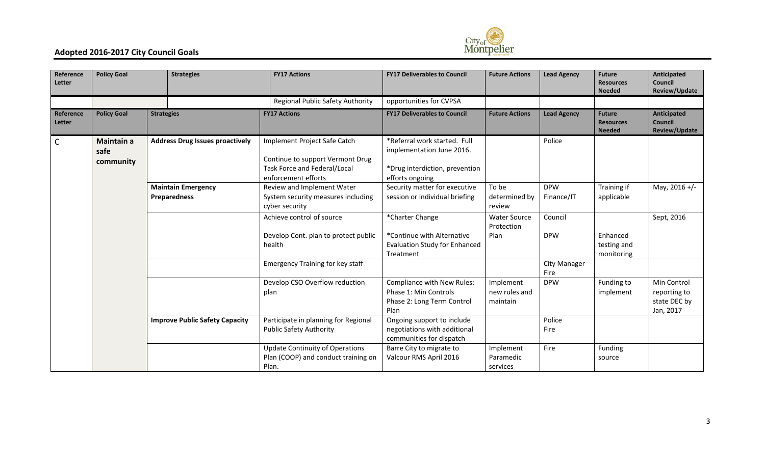

| Reference<br>Letter | <b>Policy Goal</b>              |                   | <b>Strategies</b>                         | <b>FY17 Actions</b>                                                                                                     | <b>FY17 Deliverables to Council</b>                                                                            | <b>Future Actions</b>                     | <b>Lead Agency</b>          | <b>Future</b><br><b>Resources</b><br><b>Needed</b> | Anticipated<br><b>Council</b><br>Review/Update           |
|---------------------|---------------------------------|-------------------|-------------------------------------------|-------------------------------------------------------------------------------------------------------------------------|----------------------------------------------------------------------------------------------------------------|-------------------------------------------|-----------------------------|----------------------------------------------------|----------------------------------------------------------|
|                     |                                 |                   |                                           | Regional Public Safety Authority                                                                                        | opportunities for CVPSA                                                                                        |                                           |                             |                                                    |                                                          |
| Reference<br>Letter | <b>Policy Goal</b>              | <b>Strategies</b> |                                           | <b>FY17 Actions</b>                                                                                                     | <b>FY17 Deliverables to Council</b>                                                                            | <b>Future Actions</b>                     | <b>Lead Agency</b>          | <b>Future</b><br><b>Resources</b><br><b>Needed</b> | Anticipated<br><b>Council</b><br>Review/Update           |
| $\mathsf{C}$        | Maintain a<br>safe<br>community |                   | <b>Address Drug Issues proactively</b>    | Implement Project Safe Catch<br>Continue to support Vermont Drug<br>Task Force and Federal/Local<br>enforcement efforts | *Referral work started. Full<br>implementation June 2016.<br>*Drug interdiction, prevention<br>efforts ongoing |                                           | Police                      |                                                    |                                                          |
|                     |                                 |                   | <b>Maintain Emergency</b><br>Preparedness | Review and Implement Water<br>System security measures including<br>cyber security                                      | Security matter for executive<br>session or individual briefing                                                | To be<br>determined by<br>review          | <b>DPW</b><br>Finance/IT    | Training if<br>applicable                          | May, 2016 +/-                                            |
|                     |                                 |                   |                                           | Achieve control of source<br>Develop Cont. plan to protect public<br>health                                             | *Charter Change<br>*Continue with Alternative<br><b>Evaluation Study for Enhanced</b><br>Treatment             | <b>Water Source</b><br>Protection<br>Plan | Council<br><b>DPW</b>       | Enhanced<br>testing and<br>monitoring              | Sept, 2016                                               |
|                     |                                 |                   |                                           | <b>Emergency Training for key staff</b>                                                                                 |                                                                                                                |                                           | <b>City Manager</b><br>Fire |                                                    |                                                          |
|                     |                                 |                   |                                           | Develop CSO Overflow reduction<br>plan                                                                                  | Compliance with New Rules:<br>Phase 1: Min Controls<br>Phase 2: Long Term Control<br>Plan                      | Implement<br>new rules and<br>maintain    | <b>DPW</b>                  | Funding to<br>implement                            | Min Control<br>reporting to<br>state DEC by<br>Jan, 2017 |
|                     |                                 |                   | <b>Improve Public Safety Capacity</b>     | Participate in planning for Regional<br><b>Public Safety Authority</b>                                                  | Ongoing support to include<br>negotiations with additional<br>communities for dispatch                         |                                           | Police<br>Fire              |                                                    |                                                          |
|                     |                                 |                   |                                           | <b>Update Continuity of Operations</b><br>Plan (COOP) and conduct training on<br>Plan.                                  | Barre City to migrate to<br>Valcour RMS April 2016                                                             | Implement<br>Paramedic<br>services        | Fire                        | Funding<br>source                                  |                                                          |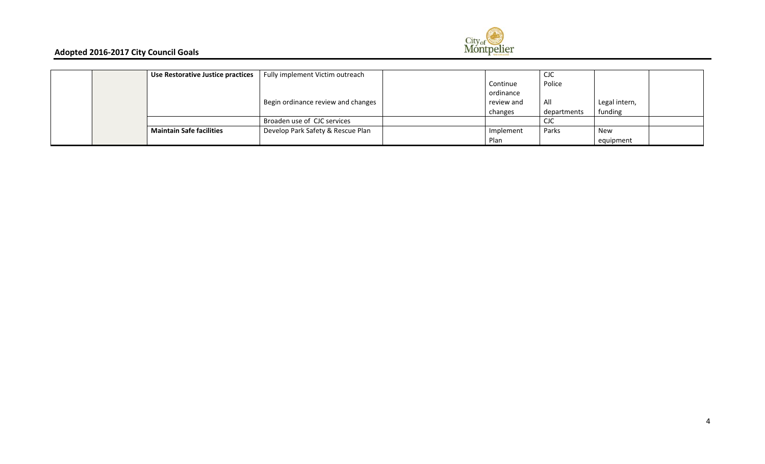

|  | Use Restorative Justice practices | Fully implement Victim outreach    |            | <b>CJC</b>  |               |  |
|--|-----------------------------------|------------------------------------|------------|-------------|---------------|--|
|  |                                   |                                    | Continue   | Police      |               |  |
|  |                                   |                                    | ordinance  |             |               |  |
|  |                                   | Begin ordinance review and changes | review and | All         | Legal intern, |  |
|  |                                   |                                    | changes    | departments | funding       |  |
|  |                                   | Broaden use of CJC services        |            | <b>CJC</b>  |               |  |
|  | <b>Maintain Safe facilities</b>   | Develop Park Safety & Rescue Plan  | Implement  | Parks       | New           |  |
|  |                                   |                                    | Plan       |             | equipment     |  |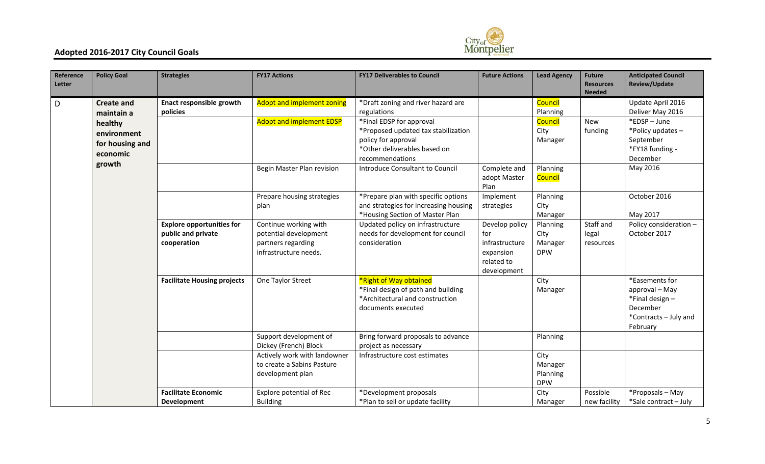

| Reference<br>Letter | <b>Policy Goal</b>                                    | <b>Strategies</b>                                                     | <b>FY17 Actions</b>                                                                           | <b>FY17 Deliverables to Council</b>                                                                                                       | <b>Future Actions</b>                                                             | <b>Lead Agency</b>                        | <b>Future</b><br><b>Resources</b><br><b>Needed</b> | <b>Anticipated Council</b><br>Review/Update                                                         |
|---------------------|-------------------------------------------------------|-----------------------------------------------------------------------|-----------------------------------------------------------------------------------------------|-------------------------------------------------------------------------------------------------------------------------------------------|-----------------------------------------------------------------------------------|-------------------------------------------|----------------------------------------------------|-----------------------------------------------------------------------------------------------------|
| D                   | <b>Create and</b><br>maintain a                       | <b>Enact responsible growth</b><br>policies                           | <b>Adopt and implement zoning</b><br><b>Adopt and implement EDSP</b>                          | *Draft zoning and river hazard are<br>regulations                                                                                         |                                                                                   | Council<br>Planning                       |                                                    | Update April 2016<br>Deliver May 2016<br>*EDSP-June                                                 |
|                     | healthy<br>environment<br>for housing and<br>economic |                                                                       |                                                                                               | *Final EDSP for approval<br>*Proposed updated tax stabilization<br>policy for approval<br>*Other deliverables based on<br>recommendations |                                                                                   | <b>Council</b><br>City<br>Manager         | <b>New</b><br>funding                              | *Policy updates-<br>September<br>*FY18 funding -<br>December                                        |
|                     | growth                                                |                                                                       | Begin Master Plan revision                                                                    | Introduce Consultant to Council                                                                                                           | Complete and<br>adopt Master<br>Plan                                              | Planning<br>Council                       |                                                    | May 2016                                                                                            |
|                     |                                                       |                                                                       | Prepare housing strategies<br>plan                                                            | *Prepare plan with specific options<br>and strategies for increasing housing<br>*Housing Section of Master Plan                           | Implement<br>strategies                                                           | Planning<br>City<br>Manager               |                                                    | October 2016<br>May 2017                                                                            |
|                     |                                                       | <b>Explore opportunities for</b><br>public and private<br>cooperation | Continue working with<br>potential development<br>partners regarding<br>infrastructure needs. | Updated policy on infrastructure<br>needs for development for council<br>consideration                                                    | Develop policy<br>for<br>infrastructure<br>expansion<br>related to<br>development | Planning<br>City<br>Manager<br><b>DPW</b> | Staff and<br>legal<br>resources                    | Policy consideration -<br>October 2017                                                              |
|                     |                                                       | <b>Facilitate Housing projects</b>                                    | One Taylor Street                                                                             | *Right of Way obtained<br>*Final design of path and building<br>*Architectural and construction<br>documents executed                     |                                                                                   | City<br>Manager                           |                                                    | *Easements for<br>approval - May<br>*Final design-<br>December<br>*Contracts - July and<br>February |
|                     |                                                       |                                                                       | Support development of<br>Dickey (French) Block                                               | Bring forward proposals to advance<br>project as necessary                                                                                |                                                                                   | Planning                                  |                                                    |                                                                                                     |
|                     |                                                       |                                                                       | Actively work with landowner<br>to create a Sabins Pasture<br>development plan                | Infrastructure cost estimates                                                                                                             |                                                                                   | City<br>Manager<br>Planning<br><b>DPW</b> |                                                    |                                                                                                     |
|                     |                                                       | <b>Facilitate Economic</b><br>Development                             | Explore potential of Rec<br><b>Building</b>                                                   | *Development proposals<br>*Plan to sell or update facility                                                                                |                                                                                   | City<br>Manager                           | Possible<br>new facility                           | *Proposals - May<br>*Sale contract - July                                                           |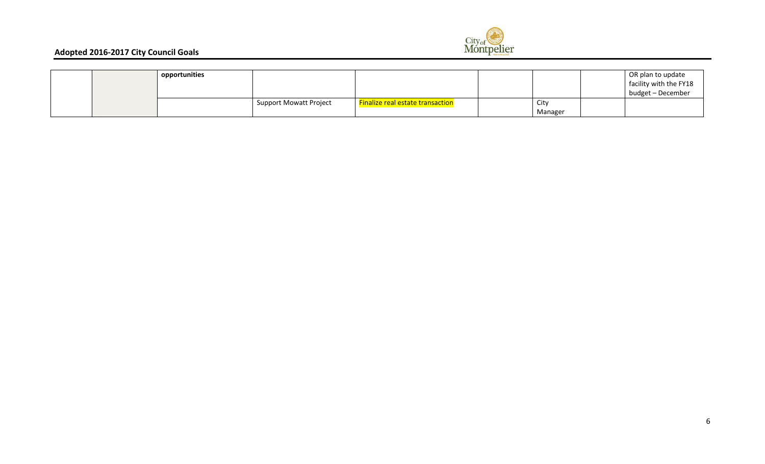

|  | opportunities |                               |                                  |         | OR plan to update<br>facility with the FY18<br>budget - December |
|--|---------------|-------------------------------|----------------------------------|---------|------------------------------------------------------------------|
|  |               | <b>Support Mowatt Project</b> | Finalize real estate transaction | City    |                                                                  |
|  |               |                               |                                  | Manager |                                                                  |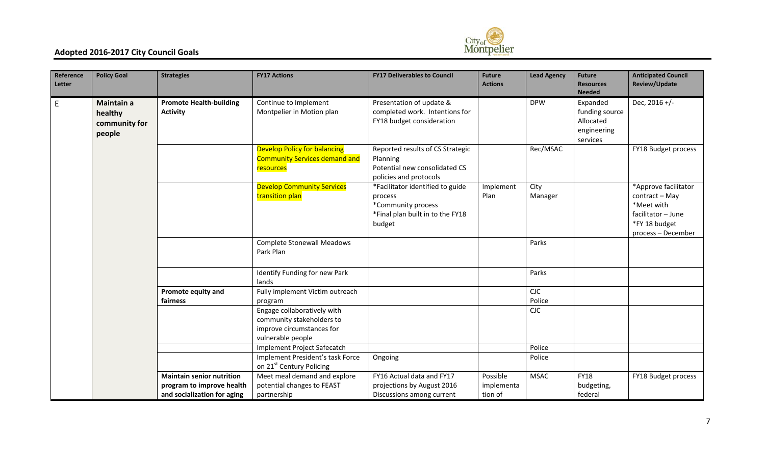

| Reference<br>Letter | <b>Policy Goal</b>                                      | <b>Strategies</b>                                                                            | <b>FY17 Actions</b>                                                                                        | <b>FY17 Deliverables to Council</b>                                                                             | <b>Future</b><br><b>Actions</b>   | <b>Lead Agency</b> | <b>Future</b><br><b>Resources</b><br><b>Needed</b>                 | <b>Anticipated Council</b><br>Review/Update                                                                       |
|---------------------|---------------------------------------------------------|----------------------------------------------------------------------------------------------|------------------------------------------------------------------------------------------------------------|-----------------------------------------------------------------------------------------------------------------|-----------------------------------|--------------------|--------------------------------------------------------------------|-------------------------------------------------------------------------------------------------------------------|
| E.                  | <b>Maintain a</b><br>healthy<br>community for<br>people | <b>Promote Health-building</b><br><b>Activity</b>                                            | Continue to Implement<br>Montpelier in Motion plan                                                         | Presentation of update &<br>completed work. Intentions for<br>FY18 budget consideration                         |                                   | <b>DPW</b>         | Expanded<br>funding source<br>Allocated<br>engineering<br>services | Dec, 2016 +/-                                                                                                     |
|                     |                                                         |                                                                                              | <b>Develop Policy for balancing</b><br><b>Community Services demand and</b><br>resources                   | Reported results of CS Strategic<br>Planning<br>Potential new consolidated CS<br>policies and protocols         |                                   | Rec/MSAC           |                                                                    | FY18 Budget process                                                                                               |
|                     |                                                         |                                                                                              | <b>Develop Community Services</b><br>transition plan                                                       | *Facilitator identified to guide<br>process<br>*Community process<br>*Final plan built in to the FY18<br>budget | Implement<br>Plan                 | City<br>Manager    |                                                                    | *Approve facilitator<br>contract - May<br>*Meet with<br>facilitator - June<br>*FY 18 budget<br>process - December |
|                     |                                                         |                                                                                              | <b>Complete Stonewall Meadows</b><br>Park Plan                                                             |                                                                                                                 |                                   | Parks              |                                                                    |                                                                                                                   |
|                     |                                                         |                                                                                              | Identify Funding for new Park<br>lands                                                                     |                                                                                                                 |                                   | Parks              |                                                                    |                                                                                                                   |
|                     |                                                         | <b>Promote equity and</b><br>fairness                                                        | Fully implement Victim outreach<br>program                                                                 |                                                                                                                 |                                   | CIC<br>Police      |                                                                    |                                                                                                                   |
|                     |                                                         |                                                                                              | Engage collaboratively with<br>community stakeholders to<br>improve circumstances for<br>vulnerable people |                                                                                                                 |                                   | CIC                |                                                                    |                                                                                                                   |
|                     |                                                         |                                                                                              | Implement Project Safecatch                                                                                |                                                                                                                 |                                   | Police             |                                                                    |                                                                                                                   |
|                     |                                                         |                                                                                              | Implement President's task Force<br>on 21st Century Policing                                               | Ongoing                                                                                                         |                                   | Police             |                                                                    |                                                                                                                   |
|                     |                                                         | <b>Maintain senior nutrition</b><br>program to improve health<br>and socialization for aging | Meet meal demand and explore<br>potential changes to FEAST<br>partnership                                  | FY16 Actual data and FY17<br>projections by August 2016<br>Discussions among current                            | Possible<br>implementa<br>tion of | <b>MSAC</b>        | <b>FY18</b><br>budgeting,<br>federal                               | FY18 Budget process                                                                                               |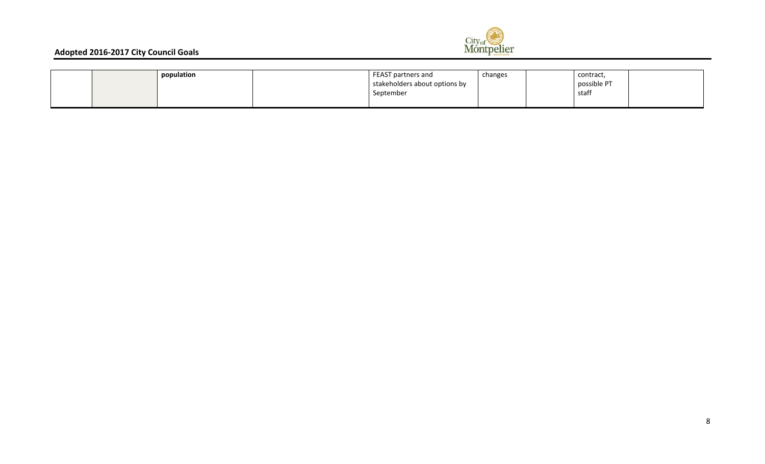

|  | population | FEAST partners and            | changes | contract,   |  |
|--|------------|-------------------------------|---------|-------------|--|
|  |            | stakeholders about options by |         | possible PT |  |
|  |            | September                     |         | staff       |  |
|  |            |                               |         |             |  |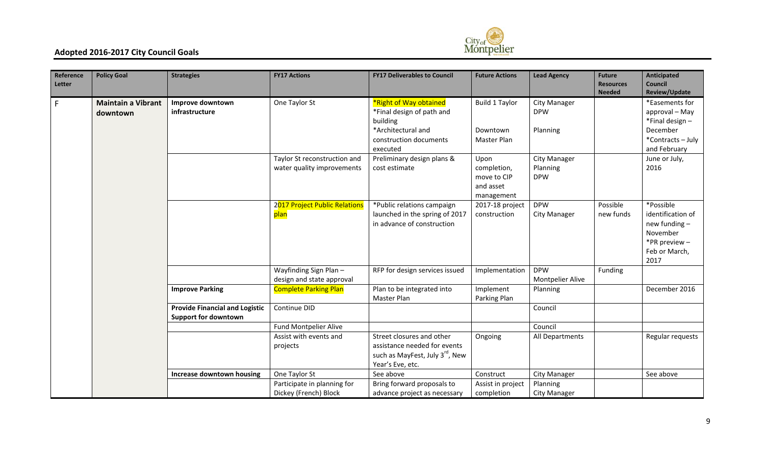

| Reference<br>Letter | <b>Policy Goal</b>                    | <b>Strategies</b>                                                    | <b>FY17 Actions</b>                                        | <b>FY17 Deliverables to Council</b>                                                                                         | <b>Future Actions</b>                                         | <b>Lead Agency</b>                            | <b>Future</b><br><b>Resources</b><br><b>Needed</b> | Anticipated<br><b>Council</b><br>Review/Update                                                        |
|---------------------|---------------------------------------|----------------------------------------------------------------------|------------------------------------------------------------|-----------------------------------------------------------------------------------------------------------------------------|---------------------------------------------------------------|-----------------------------------------------|----------------------------------------------------|-------------------------------------------------------------------------------------------------------|
| F                   | <b>Maintain a Vibrant</b><br>downtown | Improve downtown<br>infrastructure                                   | One Taylor St                                              | *Right of Way obtained<br>*Final design of path and<br>building<br>*Architectural and<br>construction documents<br>executed | <b>Build 1 Taylor</b><br>Downtown<br>Master Plan              | <b>City Manager</b><br><b>DPW</b><br>Planning |                                                    | *Easements for<br>approval - May<br>*Final design-<br>December<br>*Contracts-July<br>and February     |
|                     |                                       |                                                                      | Taylor St reconstruction and<br>water quality improvements | Preliminary design plans &<br>cost estimate                                                                                 | Upon<br>completion,<br>move to CIP<br>and asset<br>management | City Manager<br>Planning<br><b>DPW</b>        |                                                    | June or July,<br>2016                                                                                 |
|                     |                                       |                                                                      | 2017 Project Public Relations<br>plan                      | *Public relations campaign<br>launched in the spring of 2017<br>in advance of construction                                  | 2017-18 project<br>construction                               | <b>DPW</b><br><b>City Manager</b>             | Possible<br>new funds                              | *Possible<br>identification of<br>new funding -<br>November<br>*PR preview -<br>Feb or March,<br>2017 |
|                     |                                       |                                                                      | Wayfinding Sign Plan-<br>design and state approval         | RFP for design services issued                                                                                              | Implementation                                                | <b>DPW</b><br><b>Montpelier Alive</b>         | Funding                                            |                                                                                                       |
|                     |                                       | <b>Improve Parking</b>                                               | <b>Complete Parking Plan</b>                               | Plan to be integrated into<br>Master Plan                                                                                   | Implement<br>Parking Plan                                     | Planning                                      |                                                    | December 2016                                                                                         |
|                     |                                       | <b>Provide Financial and Logistic</b><br><b>Support for downtown</b> | Continue DID                                               |                                                                                                                             |                                                               | Council                                       |                                                    |                                                                                                       |
|                     |                                       |                                                                      | Fund Montpelier Alive                                      |                                                                                                                             |                                                               | Council                                       |                                                    |                                                                                                       |
|                     |                                       |                                                                      | Assist with events and<br>projects                         | Street closures and other<br>assistance needed for events<br>such as MayFest, July 3rd, New<br>Year's Eve, etc.             | Ongoing                                                       | All Departments                               |                                                    | Regular requests                                                                                      |
|                     |                                       | Increase downtown housing                                            | One Taylor St                                              | See above                                                                                                                   | Construct                                                     | <b>City Manager</b>                           |                                                    | See above                                                                                             |
|                     |                                       |                                                                      | Participate in planning for<br>Dickey (French) Block       | Bring forward proposals to<br>advance project as necessary                                                                  | Assist in project<br>completion                               | Planning<br><b>City Manager</b>               |                                                    |                                                                                                       |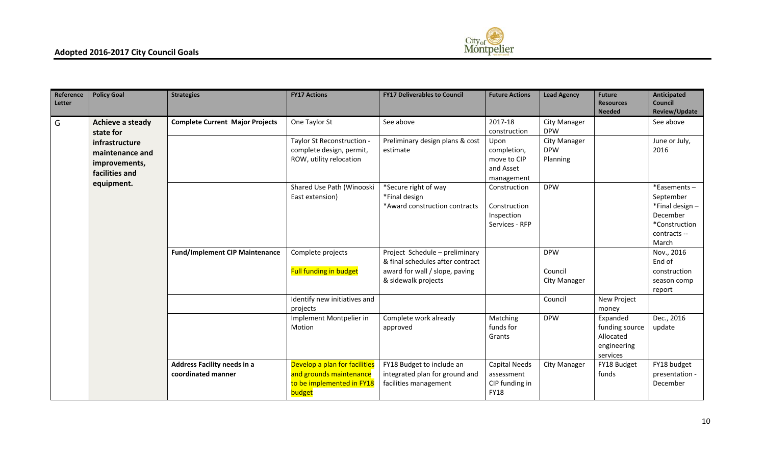

| Reference<br>Letter | <b>Policy Goal</b>                                                   | <b>Strategies</b>                                 | <b>FY17 Actions</b>                                                                             | <b>FY17 Deliverables to Council</b>                                                                                         | <b>Future Actions</b>                                               | <b>Lead Agency</b>                     | <b>Future</b><br><b>Resources</b><br><b>Needed</b>                 | <b>Anticipated</b><br><b>Council</b><br>Review/Update                                            |
|---------------------|----------------------------------------------------------------------|---------------------------------------------------|-------------------------------------------------------------------------------------------------|-----------------------------------------------------------------------------------------------------------------------------|---------------------------------------------------------------------|----------------------------------------|--------------------------------------------------------------------|--------------------------------------------------------------------------------------------------|
| G                   | Achieve a steady<br>state for                                        | <b>Complete Current Major Projects</b>            | One Taylor St                                                                                   | See above                                                                                                                   | 2017-18<br>construction                                             | <b>City Manager</b><br><b>DPW</b>      |                                                                    | See above                                                                                        |
|                     | infrastructure<br>maintenance and<br>improvements,<br>facilities and |                                                   | Taylor St Reconstruction -<br>complete design, permit,<br>ROW, utility relocation               | Preliminary design plans & cost<br>estimate                                                                                 | Upon<br>completion,<br>move to CIP<br>and Asset<br>management       | City Manager<br><b>DPW</b><br>Planning |                                                                    | June or July,<br>2016                                                                            |
|                     | equipment.                                                           |                                                   | Shared Use Path (Winooski<br>East extension)                                                    | *Secure right of way<br>*Final design<br>*Award construction contracts                                                      | Construction<br>Construction<br>Inspection<br>Services - RFP        | <b>DPW</b>                             |                                                                    | *Easements-<br>September<br>*Final design-<br>December<br>*Construction<br>contracts --<br>March |
|                     |                                                                      | <b>Fund/Implement CIP Maintenance</b>             | Complete projects<br>Full funding in budget                                                     | Project Schedule - preliminary<br>& final schedules after contract<br>award for wall / slope, paving<br>& sidewalk projects |                                                                     | <b>DPW</b><br>Council<br>City Manager  |                                                                    | Nov., 2016<br>End of<br>construction<br>season comp<br>report                                    |
|                     |                                                                      |                                                   | Identify new initiatives and<br>projects                                                        |                                                                                                                             |                                                                     | Council                                | New Project<br>money                                               |                                                                                                  |
|                     |                                                                      |                                                   | Implement Montpelier in<br>Motion                                                               | Complete work already<br>approved                                                                                           | Matching<br>funds for<br>Grants                                     | <b>DPW</b>                             | Expanded<br>funding source<br>Allocated<br>engineering<br>services | Dec., 2016<br>update                                                                             |
|                     |                                                                      | Address Facility needs in a<br>coordinated manner | Develop a plan for facilities<br>and grounds maintenance<br>to be implemented in FY18<br>budget | FY18 Budget to include an<br>integrated plan for ground and<br>facilities management                                        | <b>Capital Needs</b><br>assessment<br>CIP funding in<br><b>FY18</b> | City Manager                           | FY18 Budget<br>funds                                               | FY18 budget<br>presentation -<br>December                                                        |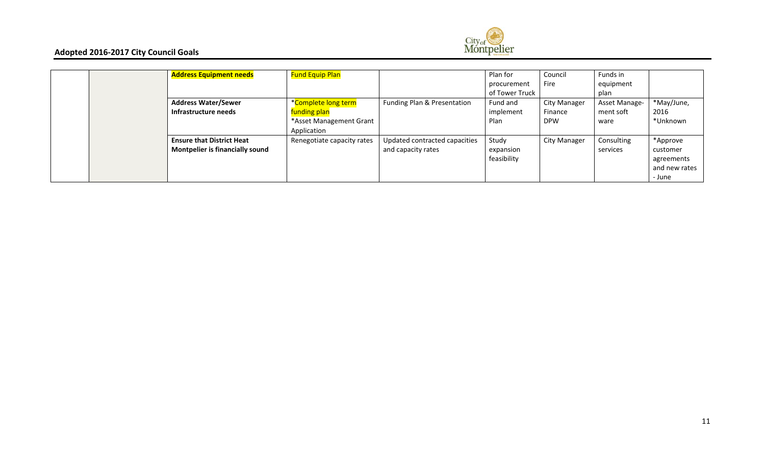

|  | <b>Address Equipment needs</b>         | <b>Fund Equip Plan</b>     |                               | Plan for       | Council             | Funds in      |               |
|--|----------------------------------------|----------------------------|-------------------------------|----------------|---------------------|---------------|---------------|
|  |                                        |                            |                               | procurement    | Fire                | equipment     |               |
|  |                                        |                            |                               | of Tower Truck |                     | plan          |               |
|  | <b>Address Water/Sewer</b>             | *Complete long term        | Funding Plan & Presentation   | Fund and       | <b>City Manager</b> | Asset Manage- | *May/June,    |
|  | Infrastructure needs                   | funding plan               |                               | implement      | Finance             | ment soft     | 2016          |
|  |                                        | *Asset Management Grant    |                               | Plan           | <b>DPW</b>          | ware          | *Unknown      |
|  |                                        | Application                |                               |                |                     |               |               |
|  | <b>Ensure that District Heat</b>       | Renegotiate capacity rates | Updated contracted capacities | Study          | <b>City Manager</b> | Consulting    | *Approve      |
|  | <b>Montpelier is financially sound</b> |                            | and capacity rates            | expansion      |                     | services      | customer      |
|  |                                        |                            |                               | feasibility    |                     |               | agreements    |
|  |                                        |                            |                               |                |                     |               | and new rates |
|  |                                        |                            |                               |                |                     |               | - June        |